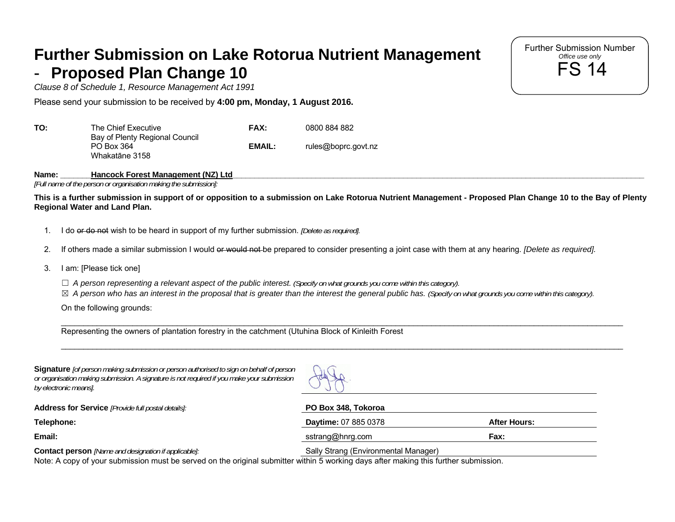## **Further Submission on Lake Rotorua Nutrient Management Proposed Plan Change 10**

*Clause 8 of Schedule 1, Resource Management Act 1991*

Please send your submission to be received by **4:00 pm, Monday, 1 August 2016.** 

| TO: | The Chief Executive                          | <b>FAX:</b> | 0800 884 882        |
|-----|----------------------------------------------|-------------|---------------------|
|     | Bay of Plenty Regional Council<br>PO Box 364 | EMAIL:      | rules@boprc.govt.nz |
|     | Whakatāne 3158                               |             |                     |

Name: Hancock Forest Management (NZ) Ltd

*[Full name of the person or organisation making the submission]:*

**This is a further submission in support of or opposition to a submission on Lake Rotorua Nutrient Management - Proposed Plan Change 10 to the Bay of Plenty Regional Water and Land Plan.** 

- 1. I do or do not wish to be heard in support of my further submission. *[Delete as required].*
- 2. If others made a similar submission I would or would not be prepared to consider presenting a joint case with them at any hearing. *[Delete as required]*.
- 3. I am: [Please tick one]
	- ☐ *A person representing a relevant aspect of the public interest. (Specify on what grounds you come within this category).*
	- ☒ *A person who has an interest in the proposal that is greater than the interest the general public has. (Specify on what grounds you come within this category).*

On the following grounds:

\_\_\_\_\_\_\_\_\_\_\_\_\_\_\_\_\_\_\_\_\_\_\_\_\_\_\_\_\_\_\_\_\_\_\_\_\_\_\_\_\_\_\_\_\_\_\_\_\_\_\_\_\_\_\_\_\_\_\_\_\_\_\_\_\_\_\_\_\_\_\_\_\_\_\_\_\_\_\_\_\_\_\_\_\_\_\_\_\_\_\_\_\_\_\_\_\_\_\_\_\_\_\_\_\_\_\_\_\_\_\_\_\_\_\_\_\_\_\_\_\_\_\_\_\_\_ Representing the owners of plantation forestry in the catchment (Utuhina Block of Kinleith Forest

**Signature** *[of person making submission or person authorised to sign on behalf of person or organisation making submission. A signature is not required if you make your submission by electronic means].*



\_\_\_\_\_\_\_\_\_\_\_\_\_\_\_\_\_\_\_\_\_\_\_\_\_\_\_\_\_\_\_\_\_\_\_\_\_\_\_\_\_\_\_\_\_\_\_\_\_\_\_\_\_\_\_\_\_\_\_\_\_\_\_\_\_\_\_\_\_\_\_\_\_\_\_\_\_\_\_\_\_\_\_\_\_\_\_\_\_\_\_\_\_\_\_\_\_\_\_\_\_\_\_\_\_\_\_\_\_\_\_\_\_\_\_\_\_\_\_\_\_\_\_\_\_\_

**Address for Service** *[Provide full postal details]:* **PO Box 348, Tokoroa** 

**Telephone: Daytime:** 07 885 0378 **After Hours:**

**Email:** sstrang@hnrg.com **Fax:**

**Contact person** *[Name and designation if applicable]:* Sally Strang (Environmental Manager)

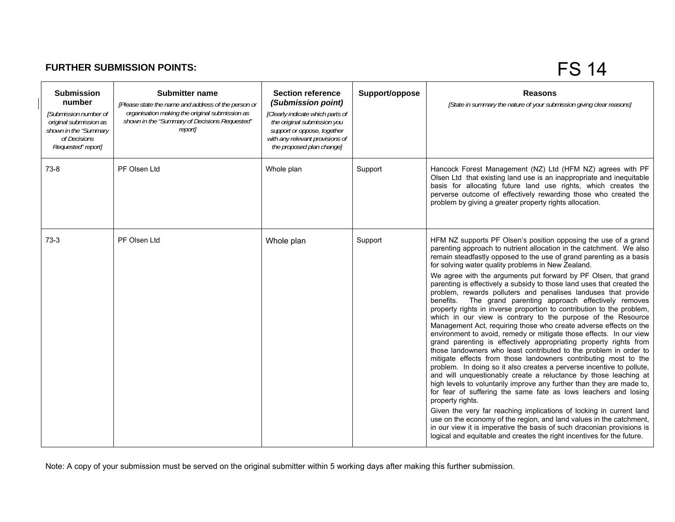## **FURTHER SUBMISSION POINTS:**

FS 14

| <b>Submission</b><br>number<br>[Submission number of<br>original submission as<br>shown in the "Summary<br>of Decisions<br>Requested" report] | <b>Submitter name</b><br>[Please state the name and address of the person or<br>organisation making the original submission as<br>shown in the "Summary of Decisions Requested"<br>report] | <b>Section reference</b><br>(Submission point)<br>[Clearly indicate which parts of<br>the original submission you<br>support or oppose, together<br>with any relevant provisions of<br>the proposed plan change] | Support/oppose | <b>Reasons</b><br>[State in summary the nature of your submission giving clear reasons]                                                                                                                                                                                                                                                                                                                                                                                                                                                                                                                                                                                                                                                                                                                                                                                                                                                                                                                                                                                                                                                                                                                                                                                                                                                                                                                                                                                                                                                                                                                                                                              |
|-----------------------------------------------------------------------------------------------------------------------------------------------|--------------------------------------------------------------------------------------------------------------------------------------------------------------------------------------------|------------------------------------------------------------------------------------------------------------------------------------------------------------------------------------------------------------------|----------------|----------------------------------------------------------------------------------------------------------------------------------------------------------------------------------------------------------------------------------------------------------------------------------------------------------------------------------------------------------------------------------------------------------------------------------------------------------------------------------------------------------------------------------------------------------------------------------------------------------------------------------------------------------------------------------------------------------------------------------------------------------------------------------------------------------------------------------------------------------------------------------------------------------------------------------------------------------------------------------------------------------------------------------------------------------------------------------------------------------------------------------------------------------------------------------------------------------------------------------------------------------------------------------------------------------------------------------------------------------------------------------------------------------------------------------------------------------------------------------------------------------------------------------------------------------------------------------------------------------------------------------------------------------------------|
| $73-8$                                                                                                                                        | PF Olsen Ltd                                                                                                                                                                               | Whole plan                                                                                                                                                                                                       | Support        | Hancock Forest Management (NZ) Ltd (HFM NZ) agrees with PF<br>Olsen Ltd that existing land use is an inappropriate and inequitable<br>basis for allocating future land use rights, which creates the<br>perverse outcome of effectively rewarding those who created the<br>problem by giving a greater property rights allocation.                                                                                                                                                                                                                                                                                                                                                                                                                                                                                                                                                                                                                                                                                                                                                                                                                                                                                                                                                                                                                                                                                                                                                                                                                                                                                                                                   |
| $73-3$                                                                                                                                        | PF Olsen Ltd                                                                                                                                                                               | Whole plan                                                                                                                                                                                                       | Support        | HFM NZ supports PF Olsen's position opposing the use of a grand<br>parenting approach to nutrient allocation in the catchment. We also<br>remain steadfastly opposed to the use of grand parenting as a basis<br>for solving water quality problems in New Zealand.<br>We agree with the arguments put forward by PF Olsen, that grand<br>parenting is effectively a subsidy to those land uses that created the<br>problem, rewards polluters and penalises landuses that provide<br>The grand parenting approach effectively removes<br>benefits.<br>property rights in inverse proportion to contribution to the problem,<br>which in our view is contrary to the purpose of the Resource<br>Management Act, requiring those who create adverse effects on the<br>environment to avoid, remedy or mitigate those effects. In our view<br>grand parenting is effectively appropriating property rights from<br>those landowners who least contributed to the problem in order to<br>mitigate effects from those landowners contributing most to the<br>problem. In doing so it also creates a perverse incentive to pollute,<br>and will unquestionably create a reluctance by those leaching at<br>high levels to voluntarily improve any further than they are made to,<br>for fear of suffering the same fate as lows leachers and losing<br>property rights.<br>Given the very far reaching implications of locking in current land<br>use on the economy of the region, and land values in the catchment,<br>in our view it is imperative the basis of such draconian provisions is<br>logical and equitable and creates the right incentives for the future. |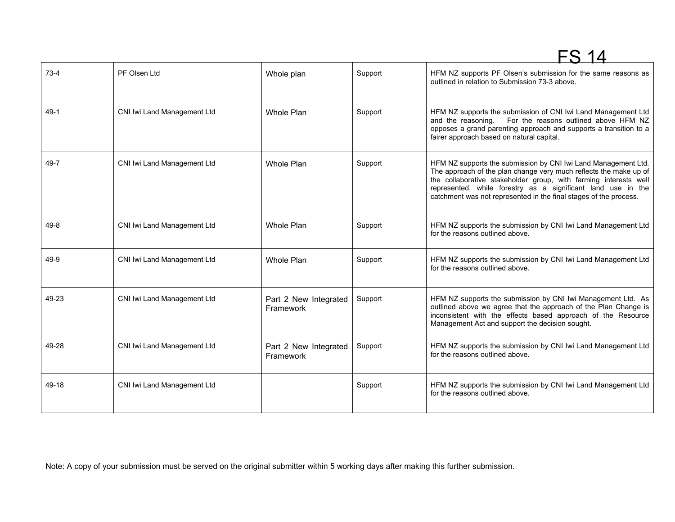|          |                             |                                    |         | FS 14                                                                                                                                                                                                                                                                                                                                        |
|----------|-----------------------------|------------------------------------|---------|----------------------------------------------------------------------------------------------------------------------------------------------------------------------------------------------------------------------------------------------------------------------------------------------------------------------------------------------|
| $73-4$   | PF Olsen Ltd                | Whole plan                         | Support | HFM NZ supports PF Olsen's submission for the same reasons as<br>outlined in relation to Submission 73-3 above.                                                                                                                                                                                                                              |
| $49-1$   | CNI Iwi Land Management Ltd | Whole Plan                         | Support | HFM NZ supports the submission of CNI Iwi Land Management Ltd<br>For the reasons outlined above HFM NZ<br>and the reasoning.<br>opposes a grand parenting approach and supports a transition to a<br>fairer approach based on natural capital.                                                                                               |
| 49-7     | CNI Iwi Land Management Ltd | Whole Plan                         | Support | HFM NZ supports the submission by CNI Iwi Land Management Ltd.<br>The approach of the plan change very much reflects the make up of<br>the collaborative stakeholder group, with farming interests well<br>represented, while forestry as a significant land use in the<br>catchment was not represented in the final stages of the process. |
| $49 - 8$ | CNI Iwi Land Management Ltd | <b>Whole Plan</b>                  | Support | HFM NZ supports the submission by CNI Iwi Land Management Ltd<br>for the reasons outlined above.                                                                                                                                                                                                                                             |
| 49-9     | CNI Iwi Land Management Ltd | <b>Whole Plan</b>                  | Support | HFM NZ supports the submission by CNI Iwi Land Management Ltd<br>for the reasons outlined above.                                                                                                                                                                                                                                             |
| 49-23    | CNI Iwi Land Management Ltd | Part 2 New Integrated<br>Framework | Support | HFM NZ supports the submission by CNI Iwi Management Ltd. As<br>outlined above we agree that the approach of the Plan Change is<br>inconsistent with the effects based approach of the Resource<br>Management Act and support the decision sought.                                                                                           |
| 49-28    | CNI Iwi Land Management Ltd | Part 2 New Integrated<br>Framework | Support | HFM NZ supports the submission by CNI Iwi Land Management Ltd<br>for the reasons outlined above.                                                                                                                                                                                                                                             |
| 49-18    | CNI Iwi Land Management Ltd |                                    | Support | HFM NZ supports the submission by CNI Iwi Land Management Ltd<br>for the reasons outlined above.                                                                                                                                                                                                                                             |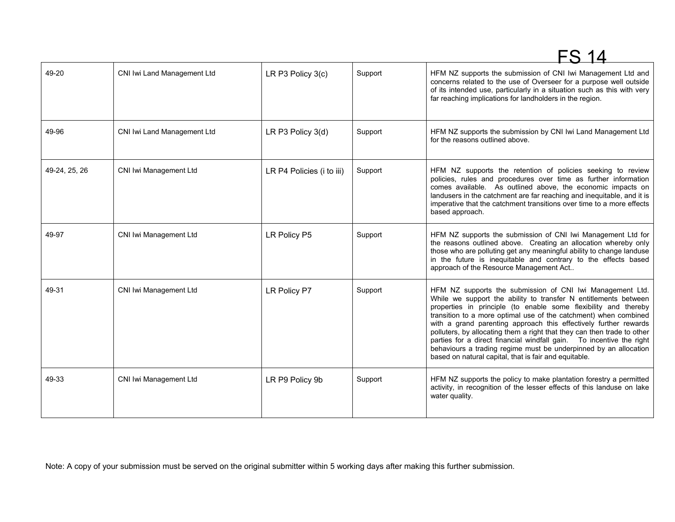|               |                             |                           |         | FS 14                                                                                                                                                                                                                                                                                                                                                                                                                                                                                                                                                                                                                    |
|---------------|-----------------------------|---------------------------|---------|--------------------------------------------------------------------------------------------------------------------------------------------------------------------------------------------------------------------------------------------------------------------------------------------------------------------------------------------------------------------------------------------------------------------------------------------------------------------------------------------------------------------------------------------------------------------------------------------------------------------------|
| 49-20         | CNI Iwi Land Management Ltd | LR P3 Policy 3(c)         | Support | HFM NZ supports the submission of CNI Iwi Management Ltd and<br>concerns related to the use of Overseer for a purpose well outside<br>of its intended use, particularly in a situation such as this with very<br>far reaching implications for landholders in the region.                                                                                                                                                                                                                                                                                                                                                |
| 49-96         | CNI Iwi Land Management Ltd | LR P3 Policy 3(d)         | Support | HFM NZ supports the submission by CNI Iwi Land Management Ltd<br>for the reasons outlined above.                                                                                                                                                                                                                                                                                                                                                                                                                                                                                                                         |
| 49-24, 25, 26 | CNI Iwi Management Ltd      | LR P4 Policies (i to iii) | Support | HFM NZ supports the retention of policies seeking to review<br>policies, rules and procedures over time as further information<br>comes available. As outlined above, the economic impacts on<br>landusers in the catchment are far reaching and inequitable, and it is<br>imperative that the catchment transitions over time to a more effects<br>based approach.                                                                                                                                                                                                                                                      |
| 49-97         | CNI Iwi Management Ltd      | LR Policy P5              | Support | HFM NZ supports the submission of CNI Iwi Management Ltd for<br>the reasons outlined above. Creating an allocation whereby only<br>those who are polluting get any meaningful ability to change landuse<br>in the future is inequitable and contrary to the effects based<br>approach of the Resource Management Act                                                                                                                                                                                                                                                                                                     |
| 49-31         | CNI Iwi Management Ltd      | LR Policy P7              | Support | HFM NZ supports the submission of CNI Iwi Management Ltd.<br>While we support the ability to transfer N entitlements between<br>properties in principle (to enable some flexibility and thereby<br>transition to a more optimal use of the catchment) when combined<br>with a grand parenting approach this effectively further rewards<br>polluters, by allocating them a right that they can then trade to other<br>parties for a direct financial windfall gain.  To incentive the right<br>behaviours a trading regime must be underpinned by an allocation<br>based on natural capital, that is fair and equitable. |
| 49-33         | CNI Iwi Management Ltd      | LR P9 Policy 9b           | Support | HFM NZ supports the policy to make plantation forestry a permitted<br>activity, in recognition of the lesser effects of this landuse on lake<br>water quality.                                                                                                                                                                                                                                                                                                                                                                                                                                                           |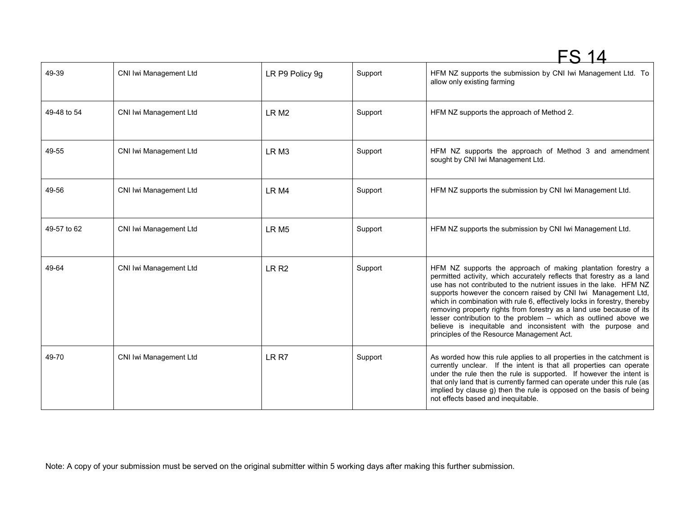|             |                        |                  |         | FS 14                                                                                                                                                                                                                                                                                                                                                                                                                                                                                                                                                                                                             |
|-------------|------------------------|------------------|---------|-------------------------------------------------------------------------------------------------------------------------------------------------------------------------------------------------------------------------------------------------------------------------------------------------------------------------------------------------------------------------------------------------------------------------------------------------------------------------------------------------------------------------------------------------------------------------------------------------------------------|
| 49-39       | CNI Iwi Management Ltd | LR P9 Policy 9g  | Support | HFM NZ supports the submission by CNI Iwi Management Ltd. To<br>allow only existing farming                                                                                                                                                                                                                                                                                                                                                                                                                                                                                                                       |
| 49-48 to 54 | CNI Iwi Management Ltd | LR <sub>M2</sub> | Support | HFM NZ supports the approach of Method 2.                                                                                                                                                                                                                                                                                                                                                                                                                                                                                                                                                                         |
| 49-55       | CNI Iwi Management Ltd | LR <sub>M3</sub> | Support | HFM NZ supports the approach of Method 3 and amendment<br>sought by CNI Iwi Management Ltd.                                                                                                                                                                                                                                                                                                                                                                                                                                                                                                                       |
| 49-56       | CNI Iwi Management Ltd | LR <sub>M4</sub> | Support | HFM NZ supports the submission by CNI Iwi Management Ltd.                                                                                                                                                                                                                                                                                                                                                                                                                                                                                                                                                         |
| 49-57 to 62 | CNI Iwi Management Ltd | LR <sub>M5</sub> | Support | HFM NZ supports the submission by CNI Iwi Management Ltd.                                                                                                                                                                                                                                                                                                                                                                                                                                                                                                                                                         |
| 49-64       | CNI Iwi Management Ltd | LR <sub>R2</sub> | Support | HFM NZ supports the approach of making plantation forestry a<br>permitted activity, which accurately reflects that forestry as a land<br>use has not contributed to the nutrient issues in the lake. HFM NZ<br>supports however the concern raised by CNI Iwi Management Ltd,<br>which in combination with rule 6, effectively locks in forestry, thereby<br>removing property rights from forestry as a land use because of its<br>lesser contribution to the problem - which as outlined above we<br>believe is inequitable and inconsistent with the purpose and<br>principles of the Resource Management Act. |
| 49-70       | CNI Iwi Management Ltd | LR R7            | Support | As worded how this rule applies to all properties in the catchment is<br>currently unclear. If the intent is that all properties can operate<br>under the rule then the rule is supported. If however the intent is<br>that only land that is currently farmed can operate under this rule (as<br>implied by clause g) then the rule is opposed on the basis of being<br>not effects based and inequitable.                                                                                                                                                                                                       |